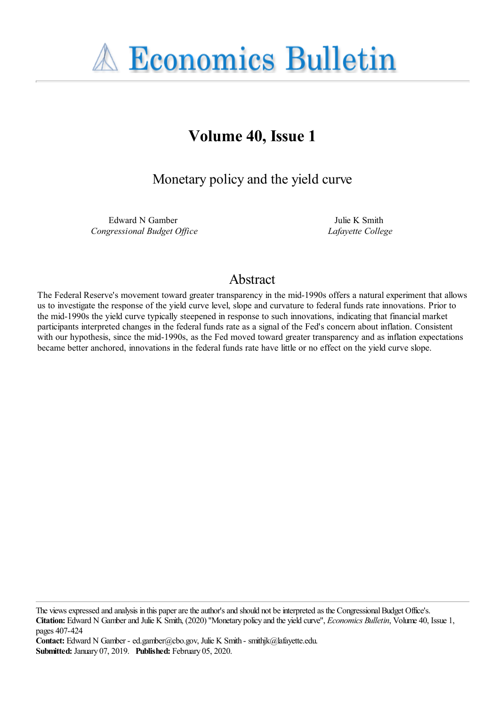**A Economics Bulletin** 

# **Volume 40, Issue 1**

Monetary policy and the yield curve

Edward N Gamber *Congressional Budget Office*

Julie K Smith *Lafayette College*

# Abstract

The Federal Reserve's movement toward greater transparency in the mid-1990s offers a natural experiment that allows us to investigate the response of the yield curve level, slope and curvature to federal funds rate innovations. Prior to the mid-1990s the yield curve typically steepened in response to such innovations, indicating that financial market participants interpreted changes in the federal funds rate as a signal of the Fed's concern about inflation. Consistent with our hypothesis, since the mid-1990s, as the Fed moved toward greater transparency and as inflation expectations became better anchored, innovations in the federal funds rate have little or no effect on the yield curve slope.

The views expressed and analysis in this paper are the author's and should not be interpreted as the Congressional Budget Office's. **Citation:** Edward N Gamber and Julie K Smith, (2020) ''Monetary policy and the yield curve'', *Economics Bulletin*, Volume 40, Issue 1, pages 407-424

**Contact:** Edward N Gamber - ed.gamber@cbo.gov, Julie K Smith - smithjk@lafayette.edu. **Submitted:** January 07, 2019. **Published:** February 05, 2020.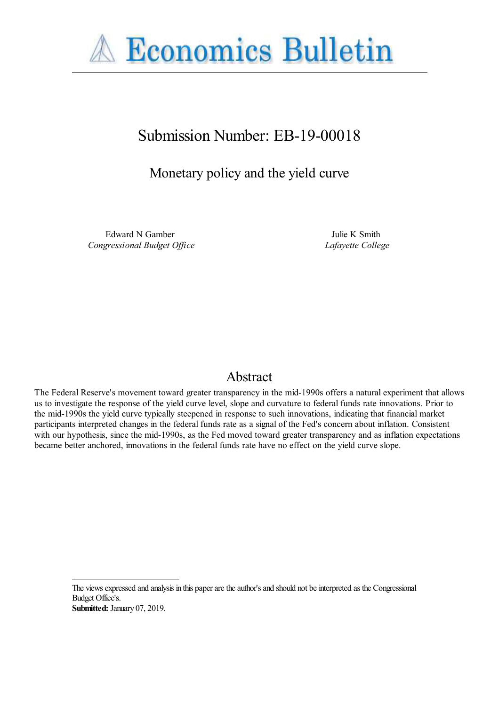

# Submission Number: EB-19-00018

# Monetary policy and the yield curve

Edward N Gamber *Congressional Budget Office*

Julie K Smith *Lafayette College*

## Abstract

The Federal Reserve's movement toward greater transparency in the mid-1990s offers a natural experiment that allows us to investigate the response of the yield curve level, slope and curvature to federal funds rate innovations. Prior to the mid-1990s the yield curve typically steepened in response to such innovations, indicating that financial market participants interpreted changes in the federal funds rate as a signal of the Fed's concern about inflation. Consistent with our hypothesis, since the mid-1990s, as the Fed moved toward greater transparency and as inflation expectations became better anchored, innovations in the federal funds rate have no effect on the yield curve slope.

The views expressed and analysis in this paper are the author's and should not be interpreted as the Congressional Budget Office's. **Submitted:** January 07, 2019.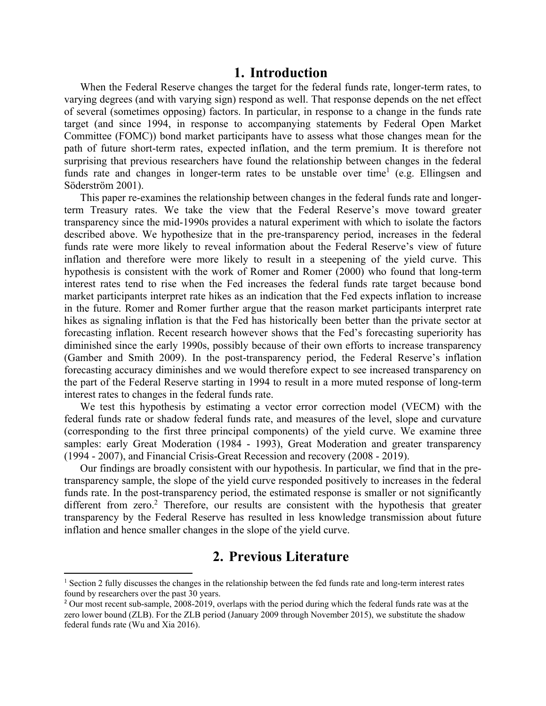#### **1. Introduction**

When the Federal Reserve changes the target for the federal funds rate, longer-term rates, to varying degrees (and with varying sign) respond as well. That response depends on the net effect of several (sometimes opposing) factors. In particular, in response to a change in the funds rate target (and since 1994, in response to accompanying statements by Federal Open Market Committee (FOMC)) bond market participants have to assess what those changes mean for the path of future short-term rates, expected inflation, and the term premium. It is therefore not surprising that previous researchers have found the relationship between changes in the federal funds rate and changes in longer-term rates to be unstable over time<sup>1</sup> (e.g. Ellingsen and Söderström 2001).

This paper re-examines the relationship between changes in the federal funds rate and longerterm Treasury rates. We take the view that the Federal Reserve's move toward greater transparency since the mid-1990s provides a natural experiment with which to isolate the factors described above. We hypothesize that in the pre-transparency period, increases in the federal funds rate were more likely to reveal information about the Federal Reserve's view of future inflation and therefore were more likely to result in a steepening of the yield curve. This hypothesis is consistent with the work of Romer and Romer (2000) who found that long-term interest rates tend to rise when the Fed increases the federal funds rate target because bond market participants interpret rate hikes as an indication that the Fed expects inflation to increase in the future. Romer and Romer further argue that the reason market participants interpret rate hikes as signaling inflation is that the Fed has historically been better than the private sector at forecasting inflation. Recent research however shows that the Fed's forecasting superiority has diminished since the early 1990s, possibly because of their own efforts to increase transparency (Gamber and Smith 2009). In the post-transparency period, the Federal Reserve's inflation forecasting accuracy diminishes and we would therefore expect to see increased transparency on the part of the Federal Reserve starting in 1994 to result in a more muted response of long-term interest rates to changes in the federal funds rate.

We test this hypothesis by estimating a vector error correction model (VECM) with the federal funds rate or shadow federal funds rate, and measures of the level, slope and curvature (corresponding to the first three principal components) of the yield curve. We examine three samples: early Great Moderation (1984 - 1993), Great Moderation and greater transparency (1994 - 2007), and Financial Crisis-Great Recession and recovery (2008 - 2019).

Our findings are broadly consistent with our hypothesis. In particular, we find that in the pretransparency sample, the slope of the yield curve responded positively to increases in the federal funds rate. In the post-transparency period, the estimated response is smaller or not significantly different from zero.<sup>2</sup> Therefore, our results are consistent with the hypothesis that greater transparency by the Federal Reserve has resulted in less knowledge transmission about future inflation and hence smaller changes in the slope of the yield curve.

### **2. Previous Literature**

<sup>&</sup>lt;sup>1</sup> Section 2 fully discusses the changes in the relationship between the fed funds rate and long-term interest rates found by researchers over the past 30 years.

<sup>&</sup>lt;sup>2</sup> Our most recent sub-sample, 2008-2019, overlaps with the period during which the federal funds rate was at the zero lower bound (ZLB). For the ZLB period (January 2009 through November 2015), we substitute the shadow federal funds rate (Wu and Xia 2016).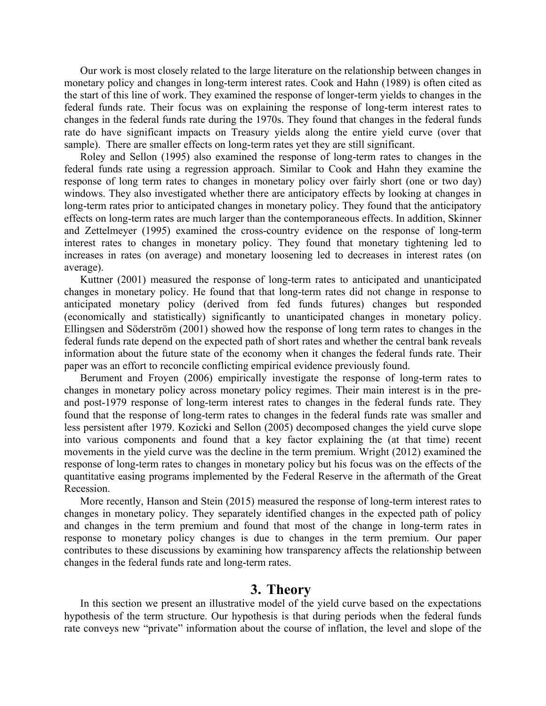Our work is most closely related to the large literature on the relationship between changes in monetary policy and changes in long-term interest rates. Cook and Hahn (1989) is often cited as the start of this line of work. They examined the response of longer-term yields to changes in the federal funds rate. Their focus was on explaining the response of long-term interest rates to changes in the federal funds rate during the 1970s. They found that changes in the federal funds rate do have significant impacts on Treasury yields along the entire yield curve (over that sample). There are smaller effects on long-term rates yet they are still significant.

Roley and Sellon (1995) also examined the response of long-term rates to changes in the federal funds rate using a regression approach. Similar to Cook and Hahn they examine the response of long term rates to changes in monetary policy over fairly short (one or two day) windows. They also investigated whether there are anticipatory effects by looking at changes in long-term rates prior to anticipated changes in monetary policy. They found that the anticipatory effects on long-term rates are much larger than the contemporaneous effects. In addition, Skinner and Zettelmeyer (1995) examined the cross-country evidence on the response of long-term interest rates to changes in monetary policy. They found that monetary tightening led to increases in rates (on average) and monetary loosening led to decreases in interest rates (on average).

Kuttner (2001) measured the response of long-term rates to anticipated and unanticipated changes in monetary policy. He found that that long-term rates did not change in response to anticipated monetary policy (derived from fed funds futures) changes but responded (economically and statistically) significantly to unanticipated changes in monetary policy. Ellingsen and Söderström (2001) showed how the response of long term rates to changes in the federal funds rate depend on the expected path of short rates and whether the central bank reveals information about the future state of the economy when it changes the federal funds rate. Their paper was an effort to reconcile conflicting empirical evidence previously found.

Berument and Froyen (2006) empirically investigate the response of long-term rates to changes in monetary policy across monetary policy regimes. Their main interest is in the preand post-1979 response of long-term interest rates to changes in the federal funds rate. They found that the response of long-term rates to changes in the federal funds rate was smaller and less persistent after 1979. Kozicki and Sellon (2005) decomposed changes the yield curve slope into various components and found that a key factor explaining the (at that time) recent movements in the yield curve was the decline in the term premium. Wright (2012) examined the response of long-term rates to changes in monetary policy but his focus was on the effects of the quantitative easing programs implemented by the Federal Reserve in the aftermath of the Great Recession.

More recently, Hanson and Stein (2015) measured the response of long-term interest rates to changes in monetary policy. They separately identified changes in the expected path of policy and changes in the term premium and found that most of the change in long-term rates in response to monetary policy changes is due to changes in the term premium. Our paper contributes to these discussions by examining how transparency affects the relationship between changes in the federal funds rate and long-term rates.

## **3. Theory**

In this section we present an illustrative model of the yield curve based on the expectations hypothesis of the term structure. Our hypothesis is that during periods when the federal funds rate conveys new "private" information about the course of inflation, the level and slope of the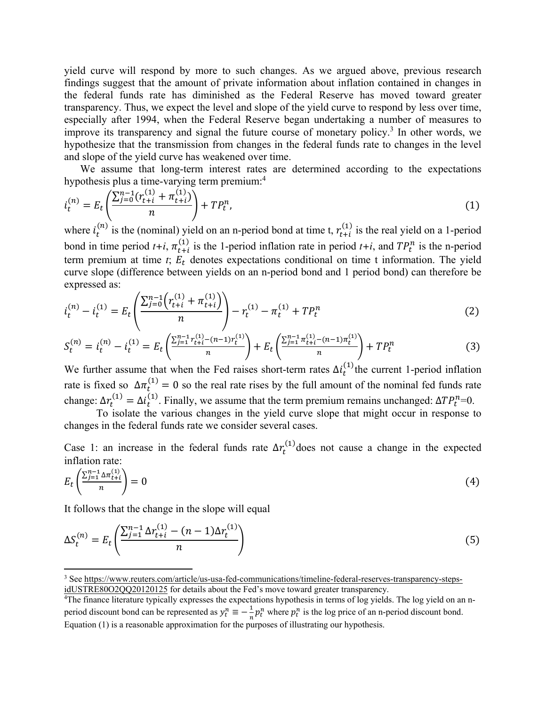yield curve will respond by more to such changes. As we argued above, previous research findings suggest that the amount of private information about inflation contained in changes in the federal funds rate has diminished as the Federal Reserve has moved toward greater transparency. Thus, we expect the level and slope of the yield curve to respond by less over time, especially after 1994, when the Federal Reserve began undertaking a number of measures to improve its transparency and signal the future course of monetary policy.<sup>3</sup> In other words, we hypothesize that the transmission from changes in the federal funds rate to changes in the level and slope of the yield curve has weakened over time.

We assume that long-term interest rates are determined according to the expectations hypothesis plus a time-varying term premium:<sup>4</sup>

$$
i_t^{(n)} = E_t \left( \frac{\sum_{j=0}^{n-1} (r_{t+i}^{(1)} + \pi_{t+i}^{(1)})}{n} \right) + T P_t^n,
$$
\n(1)

where  $i_t^{(n)}$  is the (nominal) yield on an n-period bond at time t,  $r_{t+i}^{(1)}$  is the real yield on a 1-period bond in time period  $t+i$ ,  $\pi_{t+i}^{(1)}$  is the 1-period inflation rate in period  $t+i$ , and  $TP_t^n$  is the n-period term premium at time  $t$ ;  $E_t$  denotes expectations conditional on time t information. The yield curve slope (difference between yields on an n-period bond and 1 period bond) can therefore be expressed as:

$$
i_t^{(n)} - i_t^{(1)} = E_t \left( \frac{\sum_{j=0}^{n-1} \left( r_{t+i}^{(1)} + \pi_{t+i}^{(1)} \right)}{n} \right) - r_t^{(1)} - \pi_t^{(1)} + T P_t^n \tag{2}
$$

$$
S_t^{(n)} = i_t^{(n)} - i_t^{(1)} = E_t \left( \frac{\sum_{j=1}^{n-1} r_{t+i}^{(1)} - (n-1)r_t^{(1)}}{n} \right) + E_t \left( \frac{\sum_{j=1}^{n-1} \pi_{t+i}^{(1)} - (n-1)\pi_t^{(1)}}{n} \right) + T P_t^n \tag{3}
$$

We further assume that when the Fed raises short-term rates  $\Delta i_t^{(1)}$  the current 1-period inflation rate is fixed so  $\Delta \pi_t^{(1)} = 0$  so the real rate rises by the full amount of the nominal fed funds rate change:  $\Delta r_t^{(1)} = \Delta i_t^{(1)}$ . Finally, we assume that the term premium remains unchanged:  $\Delta T P_t^n = 0$ .

To isolate the various changes in the yield curve slope that might occur in response to changes in the federal funds rate we consider several cases.

Case 1: an increase in the federal funds rate  $\Delta r_t^{(1)}$  does not cause a change in the expected inflation rate:

$$
E_t\left(\frac{\sum_{j=1}^{n-1} \Delta \pi_{t+i}^{(1)}}{n}\right) = 0\tag{4}
$$

It follows that the change in the slope will equal

$$
\Delta S_t^{(n)} = E_t \left( \frac{\sum_{j=1}^{n-1} \Delta r_{t+i}^{(1)} - (n-1)\Delta r_t^{(1)}}{n} \right) \tag{5}
$$

<sup>&</sup>lt;sup>3</sup> See https://www.reuters.com/article/us-usa-fed-communications/timeline-federal-reserves-transparency-stepsidUSTRE80O2QQ20120125 for details about the Fed's move toward greater transparency.

<sup>&</sup>lt;sup>4</sup>The finance literature typically expresses the expectations hypothesis in terms of log yields. The log yield on an nperiod discount bond can be represented as  $y_t^n \equiv -\frac{1}{n} p_t^n$  where  $p_t^n$  is the log price of an n-period discount bond. Equation (1) is a reasonable approximation for the purposes of illustrating our hypothesis.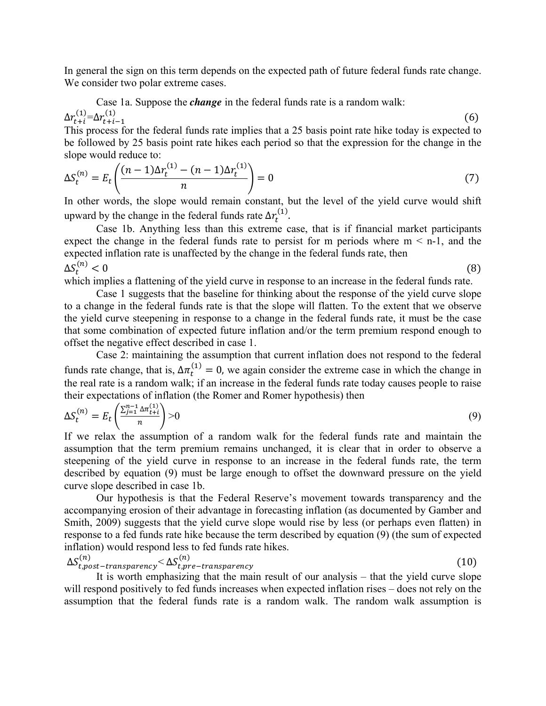In general the sign on this term depends on the expected path of future federal funds rate change. We consider two polar extreme cases.

Case 1a. Suppose the *change* in the federal funds rate is a random walk:  $\Delta r_{t+i}^{(1)} = \Delta r_{t+i-1}^{(1)}$  $(6)$ 

This process for the federal funds rate implies that a 25 basis point rate hike today is expected to be followed by 25 basis point rate hikes each period so that the expression for the change in the slope would reduce to:

$$
\Delta S_t^{(n)} = E_t \left( \frac{(n-1)\Delta r_t^{(1)} - (n-1)\Delta r_t^{(1)}}{n} \right) = 0 \tag{7}
$$

In other words, the slope would remain constant, but the level of the yield curve would shift upward by the change in the federal funds rate  $\Delta r_t^{(1)}$ .

Case 1b. Anything less than this extreme case, that is if financial market participants expect the change in the federal funds rate to persist for m periods where  $m < n-1$ , and the expected inflation rate is unaffected by the change in the federal funds rate, then  $\Delta S_t^{(n)} < 0$  $\binom{n}{t} < 0$  (8)

which implies a flattening of the yield curve in response to an increase in the federal funds rate.

Case 1 suggests that the baseline for thinking about the response of the yield curve slope to a change in the federal funds rate is that the slope will flatten. To the extent that we observe the yield curve steepening in response to a change in the federal funds rate, it must be the case that some combination of expected future inflation and/or the term premium respond enough to offset the negative effect described in case 1.

Case 2: maintaining the assumption that current inflation does not respond to the federal funds rate change, that is,  $\Delta \pi_t^{(1)} = 0$ , we again consider the extreme case in which the change in the real rate is a random walk; if an increase in the federal funds rate today causes people to raise their expectations of inflation (the Romer and Romer hypothesis) then

$$
\Delta S_t^{(n)} = E_t \left( \frac{\sum_{j=1}^{n-1} \Delta \pi_{t+i}^{(1)}}{n} \right) > 0 \tag{9}
$$

If we relax the assumption of a random walk for the federal funds rate and maintain the assumption that the term premium remains unchanged, it is clear that in order to observe a steepening of the yield curve in response to an increase in the federal funds rate, the term described by equation (9) must be large enough to offset the downward pressure on the yield curve slope described in case 1b.

Our hypothesis is that the Federal Reserve's movement towards transparency and the accompanying erosion of their advantage in forecasting inflation (as documented by Gamber and Smith, 2009) suggests that the yield curve slope would rise by less (or perhaps even flatten) in response to a fed funds rate hike because the term described by equation (9) (the sum of expected inflation) would respond less to fed funds rate hikes.

$$
\Delta S_{t,post-transparency}^{(n)} < \Delta S_{t, pre-transparency}^{(n)}
$$
\n(10)

It is worth emphasizing that the main result of our analysis – that the yield curve slope will respond positively to fed funds increases when expected inflation rises – does not rely on the assumption that the federal funds rate is a random walk. The random walk assumption is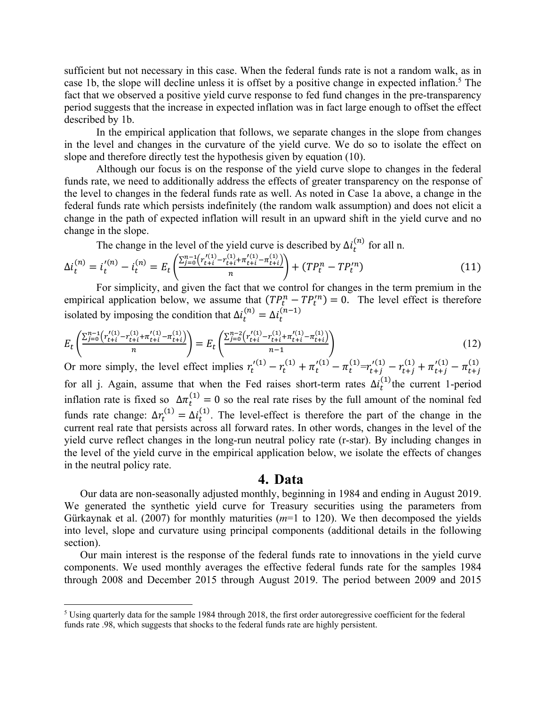sufficient but not necessary in this case. When the federal funds rate is not a random walk, as in case 1b, the slope will decline unless it is offset by a positive change in expected inflation.<sup>5</sup> The fact that we observed a positive yield curve response to fed fund changes in the pre-transparency period suggests that the increase in expected inflation was in fact large enough to offset the effect described by 1b.

In the empirical application that follows, we separate changes in the slope from changes in the level and changes in the curvature of the yield curve. We do so to isolate the effect on slope and therefore directly test the hypothesis given by equation (10).

Although our focus is on the response of the yield curve slope to changes in the federal funds rate, we need to additionally address the effects of greater transparency on the response of the level to changes in the federal funds rate as well. As noted in Case 1a above, a change in the federal funds rate which persists indefinitely (the random walk assumption) and does not elicit a change in the path of expected inflation will result in an upward shift in the yield curve and no change in the slope.

The change in the level of the yield curve is described by  $\Delta i_t^{(n)}$  for all n.

$$
\Delta i_t^{(n)} = i_t^{'(n)} - i_t^{(n)} = E_t \left( \frac{\sum_{j=0}^{n-1} \left( r_{t+i}^{(1)} - r_{t+i}^{(1)} + \pi_{t+i}^{(1)} - \pi_{t+i}^{(1)} \right)}{n} \right) + (TP_t^n - TP_t^{'n}) \tag{11}
$$

For simplicity, and given the fact that we control for changes in the term premium in the empirical application below, we assume that  $(TP_t^n - TP_t^n) = 0$ . The level effect is therefore isolated by imposing the condition that  $\Delta i_t^{(n)} = \Delta i_t^{(n-1)}$ 

$$
E_t\left(\frac{\sum_{j=0}^{n-1} \left(r_{t+i}^{(1)} - r_{t+i}^{(1)} + \pi_{t+i}^{(1)} - \pi_{t+i}^{(1)}\right)}{n}\right) = E_t\left(\frac{\sum_{j=0}^{n-2} \left(r_{t+i}^{(1)} - r_{t+i}^{(1)} + \pi_{t+i}^{(1)} - \pi_{t+i}^{(1)}\right)}{n-1}\right)
$$
(12)

Or more simply, the level effect implies  $r_t^{(1)} - r_t^{(1)} + \pi_t^{(1)} - \pi_t^{(1)} = r_{t+j}^{(1)} - \pi_{t+j}^{(1)} - \pi_{t+j}^{(1)} - \pi_{t+j}^{(1)}$ for all j. Again, assume that when the Fed raises short-term rates  $\Delta i_t^{(1)}$  the current 1-period inflation rate is fixed so  $\Delta \pi_t^{(1)} = 0$  so the real rate rises by the full amount of the nominal fed funds rate change:  $\Delta r_t^{(1)} = \Delta i_t^{(1)}$ . The level-effect is therefore the part of the change in the current real rate that persists across all forward rates. In other words, changes in the level of the yield curve reflect changes in the long-run neutral policy rate (r-star). By including changes in the level of the yield curve in the empirical application below, we isolate the effects of changes in the neutral policy rate.

#### **4. Data**

Our data are non-seasonally adjusted monthly, beginning in 1984 and ending in August 2019. We generated the synthetic yield curve for Treasury securities using the parameters from Gürkaynak et al. (2007) for monthly maturities (*m*=1 to 120). We then decomposed the yields into level, slope and curvature using principal components (additional details in the following section).

Our main interest is the response of the federal funds rate to innovations in the yield curve components. We used monthly averages the effective federal funds rate for the samples 1984 through 2008 and December 2015 through August 2019. The period between 2009 and 2015

 $<sup>5</sup>$  Using quarterly data for the sample 1984 through 2018, the first order autoregressive coefficient for the federal</sup> funds rate .98, which suggests that shocks to the federal funds rate are highly persistent.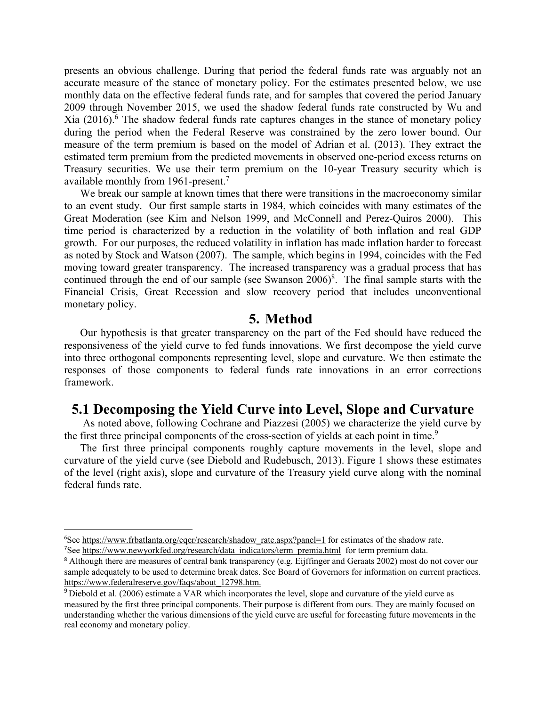presents an obvious challenge. During that period the federal funds rate was arguably not an accurate measure of the stance of monetary policy. For the estimates presented below, we use monthly data on the effective federal funds rate, and for samples that covered the period January 2009 through November 2015, we used the shadow federal funds rate constructed by Wu and Xia (2016).<sup>6</sup> The shadow federal funds rate captures changes in the stance of monetary policy during the period when the Federal Reserve was constrained by the zero lower bound. Our measure of the term premium is based on the model of Adrian et al. (2013). They extract the estimated term premium from the predicted movements in observed one-period excess returns on Treasury securities. We use their term premium on the 10-year Treasury security which is available monthly from 1961-present.<sup>7</sup>

We break our sample at known times that there were transitions in the macroeconomy similar to an event study. Our first sample starts in 1984, which coincides with many estimates of the Great Moderation (see Kim and Nelson 1999, and McConnell and Perez-Quiros 2000). This time period is characterized by a reduction in the volatility of both inflation and real GDP growth. For our purposes, the reduced volatility in inflation has made inflation harder to forecast as noted by Stock and Watson (2007). The sample, which begins in 1994, coincides with the Fed moving toward greater transparency. The increased transparency was a gradual process that has continued through the end of our sample (see Swanson  $2006)^8$ . The final sample starts with the Financial Crisis, Great Recession and slow recovery period that includes unconventional monetary policy.

#### **5. Method**

Our hypothesis is that greater transparency on the part of the Fed should have reduced the responsiveness of the yield curve to fed funds innovations. We first decompose the yield curve into three orthogonal components representing level, slope and curvature. We then estimate the responses of those components to federal funds rate innovations in an error corrections framework.

## **5.1 Decomposing the Yield Curve into Level, Slope and Curvature**

 As noted above, following Cochrane and Piazzesi (2005) we characterize the yield curve by the first three principal components of the cross-section of yields at each point in time.<sup>9</sup>

The first three principal components roughly capture movements in the level, slope and curvature of the yield curve (see Diebold and Rudebusch, 2013). Figure 1 shows these estimates of the level (right axis), slope and curvature of the Treasury yield curve along with the nominal federal funds rate.

<sup>&</sup>lt;sup>6</sup>See https://www.frbatlanta.org/cqer/research/shadow\_rate.aspx?panel=1 for estimates of the shadow rate. <sup>7</sup>See https://www.newyorkfed.org/research/data\_indicators/term\_premia.html for term premium data.

<sup>&</sup>lt;sup>8</sup> Although there are measures of central bank transparency (e.g. Eijffinger and Geraats 2002) most do not cover our sample adequately to be used to determine break dates. See Board of Governors for information on current practices. https://www.federalreserve.gov/faqs/about\_12798.htm.

<sup>&</sup>lt;sup>9</sup> Diebold et al. (2006) estimate a VAR which incorporates the level, slope and curvature of the yield curve as measured by the first three principal components. Their purpose is different from ours. They are mainly focused on understanding whether the various dimensions of the yield curve are useful for forecasting future movements in the real economy and monetary policy.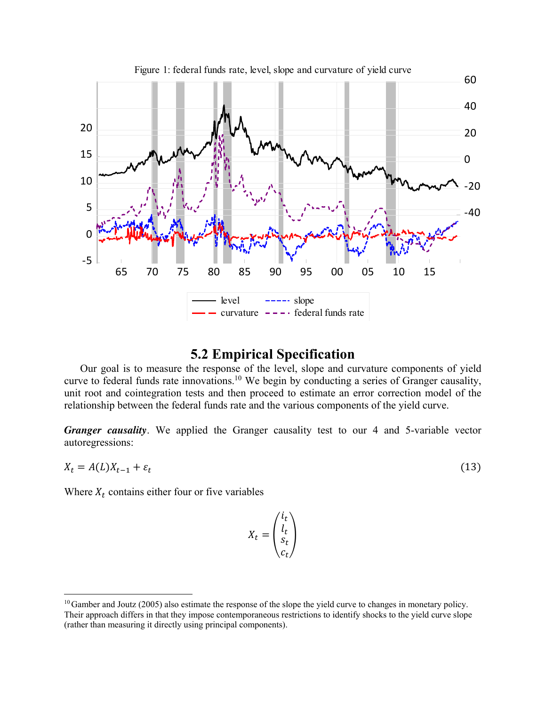

Figure 1: federal funds rate, level, slope and curvature of yield curve

## **5.2 Empirical Specification**

Our goal is to measure the response of the level, slope and curvature components of yield curve to federal funds rate innovations.<sup>10</sup> We begin by conducting a series of Granger causality, unit root and cointegration tests and then proceed to estimate an error correction model of the relationship between the federal funds rate and the various components of the yield curve.

*Granger causality*. We applied the Granger causality test to our 4 and 5-variable vector autoregressions:

$$
X_t = A(L)X_{t-1} + \varepsilon_t \tag{13}
$$

Where  $X_t$  contains either four or five variables

$$
X_t = \begin{pmatrix} i_t \\ l_t \\ s_t \\ c_t \end{pmatrix}
$$

 $10$  Gamber and Joutz (2005) also estimate the response of the slope the yield curve to changes in monetary policy. Their approach differs in that they impose contemporaneous restrictions to identify shocks to the yield curve slope (rather than measuring it directly using principal components).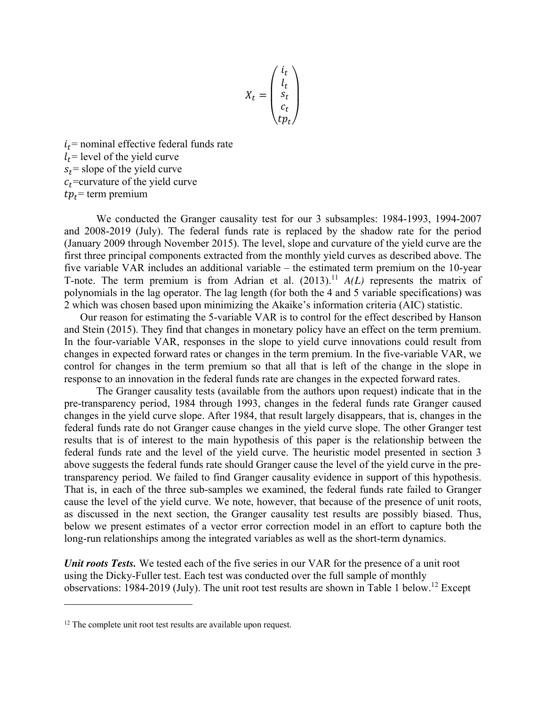$$
X_t = \begin{pmatrix} i_t \\ l_t \\ s_t \\ c_t \\ t p_t \end{pmatrix}
$$

 $i_t$ = nominal effective federal funds rate  $l_t$ = level of the yield curve  $s_t$  = slope of the yield curve  $c_t$ =curvature of the yield curve  $tp_t$ = term premium

We conducted the Granger causality test for our 3 subsamples: 1984-1993, 1994-2007 and 2008-2019 (July). The federal funds rate is replaced by the shadow rate for the period (January 2009 through November 2015). The level, slope and curvature of the yield curve are the first three principal components extracted from the monthly yield curves as described above. The five variable VAR includes an additional variable – the estimated term premium on the 10-year T-note. The term premium is from Adrian et al.  $(2013).<sup>11</sup> A(L)$  represents the matrix of polynomials in the lag operator. The lag length (for both the 4 and 5 variable specifications) was 2 which was chosen based upon minimizing the Akaike's information criteria (AIC) statistic.

Our reason for estimating the 5-variable VAR is to control for the effect described by Hanson and Stein (2015). They find that changes in monetary policy have an effect on the term premium. In the four-variable VAR, responses in the slope to yield curve innovations could result from changes in expected forward rates or changes in the term premium. In the five-variable VAR, we control for changes in the term premium so that all that is left of the change in the slope in response to an innovation in the federal funds rate are changes in the expected forward rates.

 The Granger causality tests (available from the authors upon request) indicate that in the pre-transparency period, 1984 through 1993, changes in the federal funds rate Granger caused changes in the yield curve slope. After 1984, that result largely disappears, that is, changes in the federal funds rate do not Granger cause changes in the yield curve slope. The other Granger test results that is of interest to the main hypothesis of this paper is the relationship between the federal funds rate and the level of the yield curve. The heuristic model presented in section 3 above suggests the federal funds rate should Granger cause the level of the yield curve in the pretransparency period. We failed to find Granger causality evidence in support of this hypothesis. That is, in each of the three sub-samples we examined, the federal funds rate failed to Granger cause the level of the yield curve. We note, however, that because of the presence of unit roots, as discussed in the next section, the Granger causality test results are possibly biased. Thus, below we present estimates of a vector error correction model in an effort to capture both the long-run relationships among the integrated variables as well as the short-term dynamics.

*Unit roots Tests.* We tested each of the five series in our VAR for the presence of a unit root using the Dicky-Fuller test. Each test was conducted over the full sample of monthly observations: 1984-2019 (July). The unit root test results are shown in Table 1 below.<sup>12</sup> Except

 $12$  The complete unit root test results are available upon request.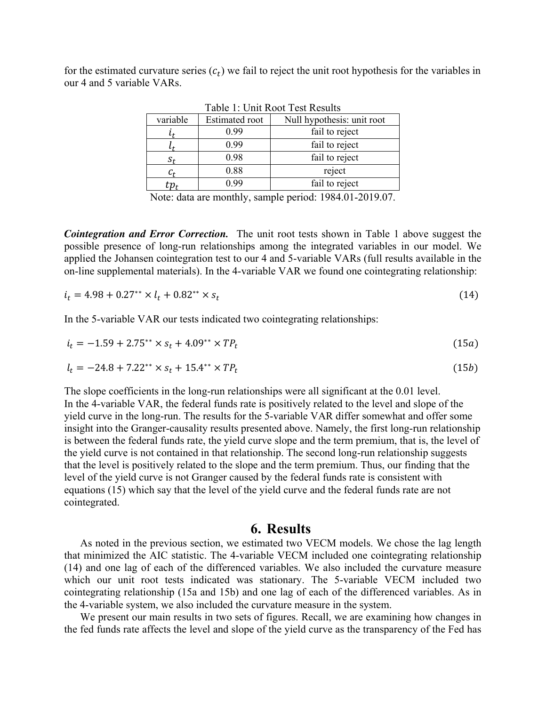for the estimated curvature series  $(c_t)$  we fail to reject the unit root hypothesis for the variables in our 4 and 5 variable VARs.

| variable | <b>Estimated root</b> | Null hypothesis: unit root |
|----------|-----------------------|----------------------------|
|          | 0.99                  | fail to reject             |
|          | 0.99                  | fail to reject             |
|          | 0.98                  | fail to reject             |
|          | 0.88                  | reject                     |
|          | 0.99                  | fail to reject             |
|          |                       |                            |

Table 1: Unit Root Test Results

Note: data are monthly, sample period: 1984.01-2019.07.

*Cointegration and Error Correction.* The unit root tests shown in Table 1 above suggest the possible presence of long-run relationships among the integrated variables in our model. We applied the Johansen cointegration test to our 4 and 5-variable VARs (full results available in the on-line supplemental materials). In the 4-variable VAR we found one cointegrating relationship:

$$
i_t = 4.98 + 0.27^{**} \times l_t + 0.82^{**} \times s_t \tag{14}
$$

In the 5-variable VAR our tests indicated two cointegrating relationships:

$$
i_t = -1.59 + 2.75^{**} \times s_t + 4.09^{**} \times TP_t \tag{15a}
$$

$$
l_t = -24.8 + 7.22^{**} \times s_t + 15.4^{**} \times TP_t \tag{15b}
$$

The slope coefficients in the long-run relationships were all significant at the 0.01 level. In the 4-variable VAR, the federal funds rate is positively related to the level and slope of the yield curve in the long-run. The results for the 5-variable VAR differ somewhat and offer some insight into the Granger-causality results presented above. Namely, the first long-run relationship is between the federal funds rate, the yield curve slope and the term premium, that is, the level of the yield curve is not contained in that relationship. The second long-run relationship suggests that the level is positively related to the slope and the term premium. Thus, our finding that the level of the yield curve is not Granger caused by the federal funds rate is consistent with equations (15) which say that the level of the yield curve and the federal funds rate are not cointegrated.

#### **6. Results**

As noted in the previous section, we estimated two VECM models. We chose the lag length that minimized the AIC statistic. The 4-variable VECM included one cointegrating relationship (14) and one lag of each of the differenced variables. We also included the curvature measure which our unit root tests indicated was stationary. The 5-variable VECM included two cointegrating relationship (15a and 15b) and one lag of each of the differenced variables. As in the 4-variable system, we also included the curvature measure in the system.

We present our main results in two sets of figures. Recall, we are examining how changes in the fed funds rate affects the level and slope of the yield curve as the transparency of the Fed has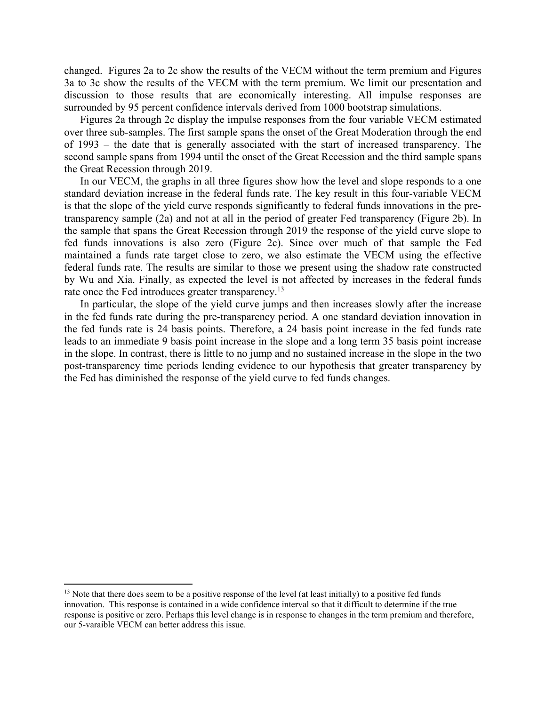changed. Figures 2a to 2c show the results of the VECM without the term premium and Figures 3a to 3c show the results of the VECM with the term premium. We limit our presentation and discussion to those results that are economically interesting. All impulse responses are surrounded by 95 percent confidence intervals derived from 1000 bootstrap simulations.

Figures 2a through 2c display the impulse responses from the four variable VECM estimated over three sub-samples. The first sample spans the onset of the Great Moderation through the end of 1993 – the date that is generally associated with the start of increased transparency. The second sample spans from 1994 until the onset of the Great Recession and the third sample spans the Great Recession through 2019.

In our VECM, the graphs in all three figures show how the level and slope responds to a one standard deviation increase in the federal funds rate. The key result in this four-variable VECM is that the slope of the yield curve responds significantly to federal funds innovations in the pretransparency sample (2a) and not at all in the period of greater Fed transparency (Figure 2b). In the sample that spans the Great Recession through 2019 the response of the yield curve slope to fed funds innovations is also zero (Figure 2c). Since over much of that sample the Fed maintained a funds rate target close to zero, we also estimate the VECM using the effective federal funds rate. The results are similar to those we present using the shadow rate constructed by Wu and Xia. Finally, as expected the level is not affected by increases in the federal funds rate once the Fed introduces greater transparency.<sup>13</sup>

In particular, the slope of the yield curve jumps and then increases slowly after the increase in the fed funds rate during the pre-transparency period. A one standard deviation innovation in the fed funds rate is 24 basis points. Therefore, a 24 basis point increase in the fed funds rate leads to an immediate 9 basis point increase in the slope and a long term 35 basis point increase in the slope. In contrast, there is little to no jump and no sustained increase in the slope in the two post-transparency time periods lending evidence to our hypothesis that greater transparency by the Fed has diminished the response of the yield curve to fed funds changes.

 $<sup>13</sup>$  Note that there does seem to be a positive response of the level (at least initially) to a positive fed funds</sup> innovation. This response is contained in a wide confidence interval so that it difficult to determine if the true response is positive or zero. Perhaps this level change is in response to changes in the term premium and therefore, our 5-varaible VECM can better address this issue.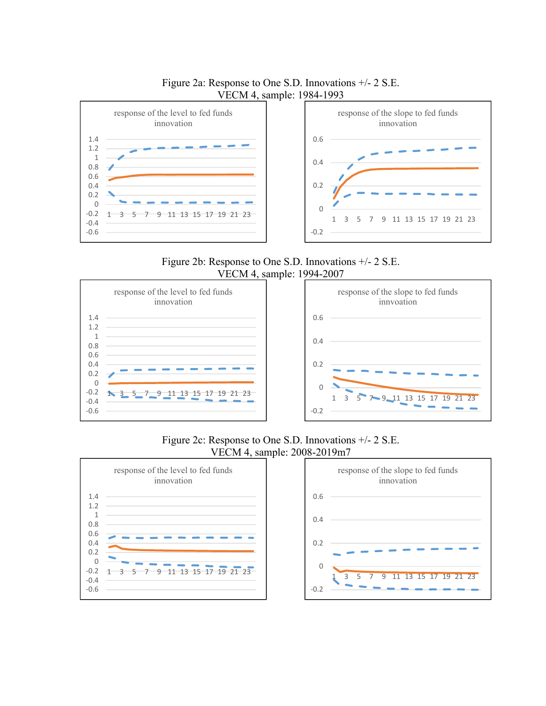

Figure 2a: Response to One S.D. Innovations +/- 2 S.E. VECM 4, sample: 1984-1993

Figure 2b: Response to One S.D. Innovations +/- 2 S.E. VECM 4, sample: 1994-2007





Figure 2c: Response to One S.D. Innovations +/- 2 S.E. VECM 4, sample: 2008-2019m7



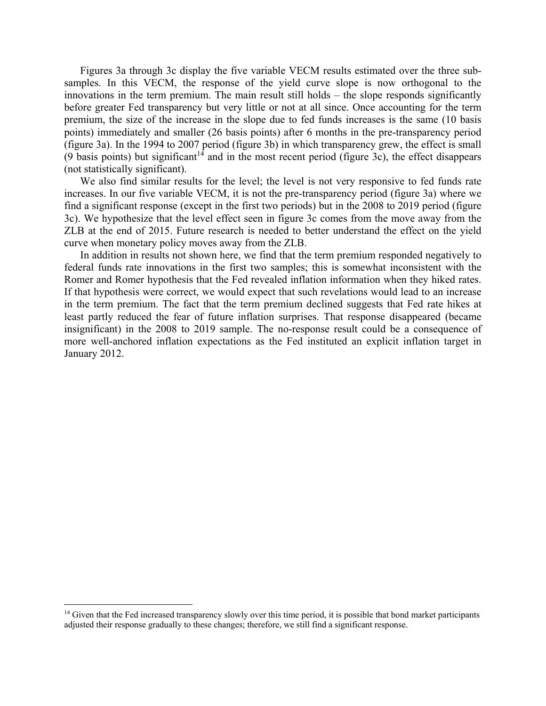Figures 3a through 3c display the five variable VECM results estimated over the three subsamples. In this VECM, the response of the yield curve slope is now orthogonal to the innovations in the term premium. The main result still holds – the slope responds significantly before greater Fed transparency but very little or not at all since. Once accounting for the term premium, the size of the increase in the slope due to fed funds increases is the same (10 basis points) immediately and smaller (26 basis points) after 6 months in the pre-transparency period (figure 3a). In the 1994 to 2007 period (figure 3b) in which transparency grew, the effect is small (9 basis points) but significant<sup>14</sup> and in the most recent period (figure 3c), the effect disappears (not statistically significant).

We also find similar results for the level; the level is not very responsive to fed funds rate increases. In our five variable VECM, it is not the pre-transparency period (figure 3a) where we find a significant response (except in the first two periods) but in the 2008 to 2019 period (figure 3c). We hypothesize that the level effect seen in figure 3c comes from the move away from the ZLB at the end of 2015. Future research is needed to better understand the effect on the yield curve when monetary policy moves away from the ZLB.

In addition in results not shown here, we find that the term premium responded negatively to federal funds rate innovations in the first two samples; this is somewhat inconsistent with the Romer and Romer hypothesis that the Fed revealed inflation information when they hiked rates. If that hypothesis were correct, we would expect that such revelations would lead to an increase in the term premium. The fact that the term premium declined suggests that Fed rate hikes at least partly reduced the fear of future inflation surprises. That response disappeared (became insignificant) in the 2008 to 2019 sample. The no-response result could be a consequence of more well-anchored inflation expectations as the Fed instituted an explicit inflation target in January 2012.

<sup>&</sup>lt;sup>14</sup> Given that the Fed increased transparency slowly over this time period, it is possible that bond market participants adjusted their response gradually to these changes; therefore, we still find a significant response.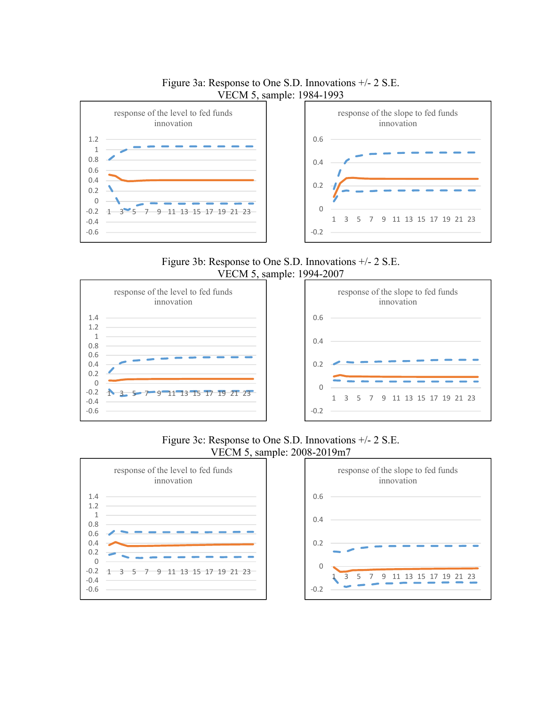

Figure 3a: Response to One S.D. Innovations +/- 2 S.E.

Figure 3b: Response to One S.D. Innovations +/- 2 S.E. VECM 5, sample: 1994-2007





Figure 3c: Response to One S.D. Innovations +/- 2 S.E. VECM 5, sample: 2008-2019m7



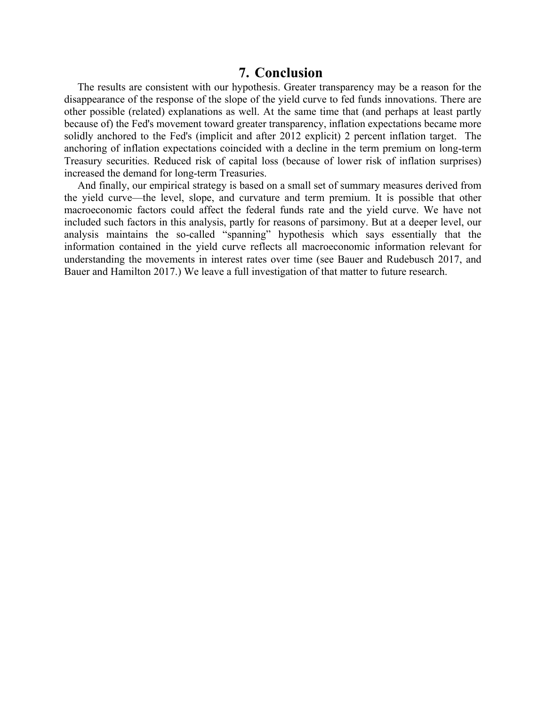### **7. Conclusion**

 The results are consistent with our hypothesis. Greater transparency may be a reason for the disappearance of the response of the slope of the yield curve to fed funds innovations. There are other possible (related) explanations as well. At the same time that (and perhaps at least partly because of) the Fed's movement toward greater transparency, inflation expectations became more solidly anchored to the Fed's (implicit and after 2012 explicit) 2 percent inflation target. The anchoring of inflation expectations coincided with a decline in the term premium on long-term Treasury securities. Reduced risk of capital loss (because of lower risk of inflation surprises) increased the demand for long-term Treasuries.

 And finally, our empirical strategy is based on a small set of summary measures derived from the yield curve—the level, slope, and curvature and term premium. It is possible that other macroeconomic factors could affect the federal funds rate and the yield curve. We have not included such factors in this analysis, partly for reasons of parsimony. But at a deeper level, our analysis maintains the so-called "spanning" hypothesis which says essentially that the information contained in the yield curve reflects all macroeconomic information relevant for understanding the movements in interest rates over time (see Bauer and Rudebusch 2017, and Bauer and Hamilton 2017.) We leave a full investigation of that matter to future research.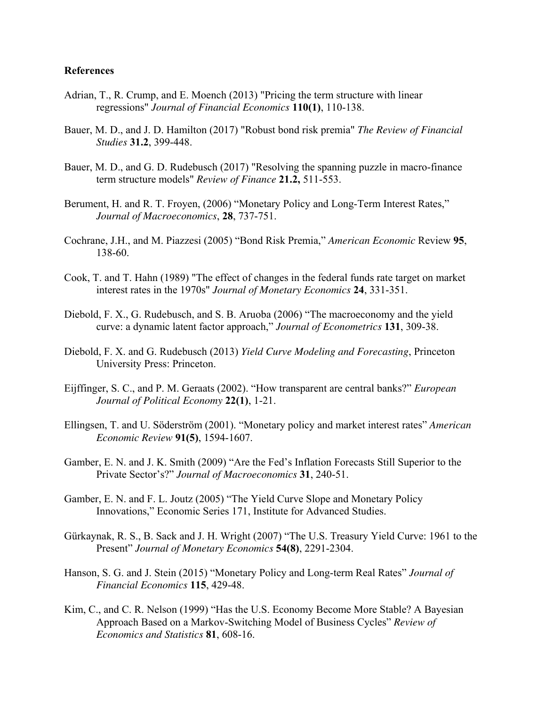#### **References**

- Adrian, T., R. Crump, and E. Moench (2013) "Pricing the term structure with linear regressions" *Journal of Financial Economics* **110(1)**, 110-138.
- Bauer, M. D., and J. D. Hamilton (2017) "Robust bond risk premia" *The Review of Financial Studies* **31.2**, 399-448.
- Bauer, M. D., and G. D. Rudebusch (2017) "Resolving the spanning puzzle in macro-finance term structure models" *Review of Finance* **21.2,** 511-553.
- Berument, H. and R. T. Froyen, (2006) "Monetary Policy and Long-Term Interest Rates," *Journal of Macroeconomics*, **28**, 737-751.
- Cochrane, J.H., and M. Piazzesi (2005) "Bond Risk Premia," *American Economic* Review **95**, 138-60.
- Cook, T. and T. Hahn (1989) "The effect of changes in the federal funds rate target on market interest rates in the 1970s" *Journal of Monetary Economics* **24**, 331-351.
- Diebold, F. X., G. Rudebusch, and S. B. Aruoba (2006) "The macroeconomy and the yield curve: a dynamic latent factor approach," *Journal of Econometrics* **131**, 309-38.
- Diebold, F. X. and G. Rudebusch (2013) *Yield Curve Modeling and Forecasting*, Princeton University Press: Princeton.
- Eijffinger, S. C., and P. M. Geraats (2002). "How transparent are central banks?" *European Journal of Political Economy* **22(1)**, 1-21.
- Ellingsen, T. and U. Söderström (2001). "Monetary policy and market interest rates" *American Economic Review* **91(5)**, 1594-1607.
- Gamber, E. N. and J. K. Smith (2009) "Are the Fed's Inflation Forecasts Still Superior to the Private Sector's?" *Journal of Macroeconomics* **31**, 240-51.
- Gamber, E. N. and F. L. Joutz (2005) "The Yield Curve Slope and Monetary Policy Innovations," Economic Series 171, Institute for Advanced Studies.
- Gürkaynak, R. S., B. Sack and J. H. Wright (2007) "The U.S. Treasury Yield Curve: 1961 to the Present" *Journal of Monetary Economics* **54(8)**, 2291-2304.
- Hanson, S. G. and J. Stein (2015) "Monetary Policy and Long-term Real Rates" *Journal of Financial Economics* **115**, 429-48.
- Kim, C., and C. R. Nelson (1999) "Has the U.S. Economy Become More Stable? A Bayesian Approach Based on a Markov-Switching Model of Business Cycles" *Review of Economics and Statistics* **81**, 608-16.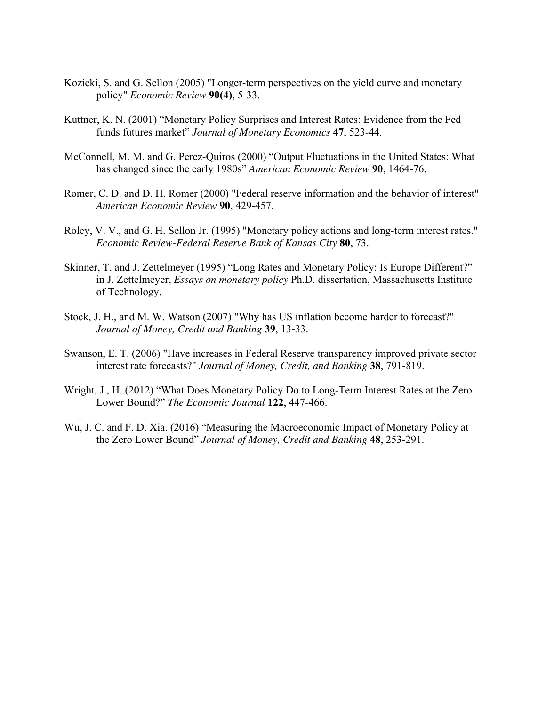- Kozicki, S. and G. Sellon (2005) "Longer-term perspectives on the yield curve and monetary policy" *Economic Review* **90(4)**, 5-33.
- Kuttner, K. N. (2001) "Monetary Policy Surprises and Interest Rates: Evidence from the Fed funds futures market" *Journal of Monetary Economics* **47**, 523-44.
- McConnell, M. M. and G. Perez-Quiros (2000) "Output Fluctuations in the United States: What has changed since the early 1980s" *American Economic Review* **90**, 1464-76.
- Romer, C. D. and D. H. Romer (2000) "Federal reserve information and the behavior of interest" *American Economic Review* **90**, 429-457.
- Roley, V. V., and G. H. Sellon Jr. (1995) "Monetary policy actions and long-term interest rates." *Economic Review-Federal Reserve Bank of Kansas City* **80**, 73.
- Skinner, T. and J. Zettelmeyer (1995) "Long Rates and Monetary Policy: Is Europe Different?" in J. Zettelmeyer, *Essays on monetary policy* Ph.D. dissertation, Massachusetts Institute of Technology.
- Stock, J. H., and M. W. Watson (2007) "Why has US inflation become harder to forecast?" *Journal of Money, Credit and Banking* **39**, 13-33.
- Swanson, E. T. (2006) "Have increases in Federal Reserve transparency improved private sector interest rate forecasts?" *Journal of Money, Credit, and Banking* **38**, 791-819.
- Wright, J., H. (2012) "What Does Monetary Policy Do to Long-Term Interest Rates at the Zero Lower Bound?" *The Economic Journal* **122**, 447-466.
- Wu, J. C. and F. D. Xia. (2016) "Measuring the Macroeconomic Impact of Monetary Policy at the Zero Lower Bound" *Journal of Money, Credit and Banking* **48**, 253-291.